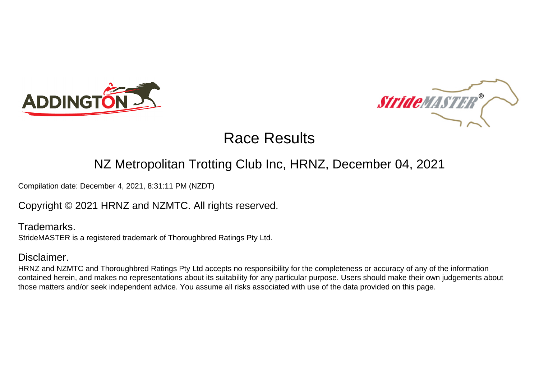



#### NZ Metropolitan Trotting Club Inc, HRNZ, December 04, 2021

Compilation date: December 4, 2021, 8:31:11 PM (NZDT)

Copyright © 2021 HRNZ and NZMTC. All rights reserved.

Trademarks. StrideMASTER is a registered trademark of Thoroughbred Ratings Pty Ltd.

#### Disclaimer.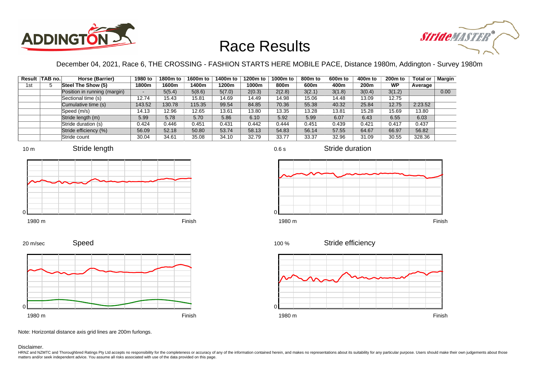



December 04, 2021, Race 6, THE CROSSING - FASHION STARTS HERE MOBILE PACE, Distance 1980m, Addington - Survey 1980m

|     | Result TAB no. | Horse (Barrier)              | 1980 to | 1800m to | 1600m to | 1400m to | 1200m to | 1000m to | 800 <sub>m</sub> to | 600 <sub>m</sub> to | 400m to | 200 <sub>m</sub> to | <b>Total or</b> | <b>Margin</b> |
|-----|----------------|------------------------------|---------|----------|----------|----------|----------|----------|---------------------|---------------------|---------|---------------------|-----------------|---------------|
| 1st |                | Steel The Show (5)           | 1800m   | 1600m    | 1400m    | 1200m    | 1000m    | 800m     | 600m                | 400m                | 200m    | <b>WP</b>           | Average         |               |
|     |                | Position in running (margin) | ۰.      | 5(5.4)   | 5(8.6)   | 5(7.0)   | 2(0.3)   | 2(2.8)   | 3(2.1)              | 3(1.8)              | 3(0.4)  | 3(1.2)              |                 | 0.00          |
|     |                | Sectional time (s)           | 12.74   | 15.43    | 15.81    | 14.69    | 14.49    | 14.98    | 15.06               | 14.48               | 13.09   | 12.75               |                 |               |
|     |                | Cumulative time (s)          | 143.52  | 130.78   | 115.35   | 99.54    | 84.85    | 70.36    | 55.38               | 40.32               | 25.84   | 12.75               | 2:23.52         |               |
|     |                | Speed (m/s)                  | 14.13   | 12.96    | 12.65    | 13.61    | 13.80    | 13.35    | 13.28               | 13.81               | 15.28   | 15.69               | 13.80           |               |
|     |                | Stride length (m)            | 5.99    | 5.78     | 5.70     | 5.86     | 6.10     | 5.92     | 5.99                | 6.07                | 6.43    | 6.55                | 6.03            |               |
|     |                | Stride duration (s)          | 0.424   | 0.446    | 0.451    | 0.431    | 0.442    | 0.444    | 0.451               | 0.439               | 0.421   | 0.417               | 0.437           |               |
|     |                | Stride efficiency (%)        | 56.09   | 52.18    | 50.80    | 53.74    | 58.13    | 54.83    | 56.14               | 57.55               | 64.67   | 66.97               | 56.82           |               |
|     |                | Stride count                 | 30.04   | 34.61    | 35.08    | 34.10    | 32.79    | 33.77    | 33.37               | 32.96               | 31.09   | 30.55               | 328.36          |               |











Stride duration







Note: Horizontal distance axis grid lines are 200m furlongs.

Disclaimer.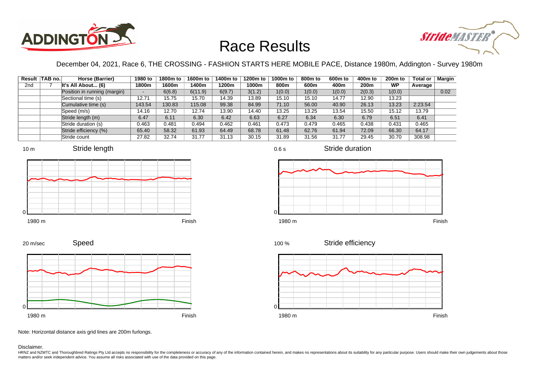



December 04, 2021, Race 6, THE CROSSING - FASHION STARTS HERE MOBILE PACE, Distance 1980m, Addington - Survey 1980m

|                 | Result TAB no. | Horse (Barrier)              | 1980 to | 1800m to | 1600m to | 1400m to | 1200m to | 1000m to | 800m to | 600 <sub>m</sub> to | 400m to | 200 <sub>m</sub> to | <b>Total or</b> | <b>Margin</b> |
|-----------------|----------------|------------------------------|---------|----------|----------|----------|----------|----------|---------|---------------------|---------|---------------------|-----------------|---------------|
| 2 <sub>nd</sub> |                | It's All About $(6)$         | 1800m   | 1600m    | 1400m    | 1200m    | 1000m    | 800m     | 600m    | 400m                | 200m    | <b>WP</b>           | Average         |               |
|                 |                | Position in running (margin) | -       | 6(6.8)   | 6(11.9)  | 6(9.7)   | 3(1.2)   | 1(0.0)   | 1(0.0)  | 1(0.0)              | 2(0.3)  | 1(0.0)              |                 | 0.02          |
|                 |                | Sectional time (s)           | 12.71   | 15.75    | 15.70    | 14.39    | 13.89    | 15.10    | 15.10   | 14.77               | 12.90   | 13.23               |                 |               |
|                 |                | Cumulative time (s)          | 143.54  | 130.83   | 115.08   | 99.38    | 84.99    | 71.10    | 56.00   | 40.90               | 26.13   | 13.23               | 2:23.54         |               |
|                 |                | Speed (m/s)                  | 14.16   | 12.70    | 12.74    | 13.90    | 14.40    | 13.25    | 13.25   | 13.54               | 15.50   | 15.12               | 13.79           |               |
|                 |                | Stride length (m)            | 6.47    | 6.11     | 6.30     | 6.42     | 6.63     | 6.27     | 6.34    | 6.30                | 6.79    | 6.51                | 6.41            |               |
|                 |                | Stride duration (s)          | 0.463   | 0.481    | 0.494    | 0.462    | 0.461    | 0.473    | 0.479   | 0.465               | 0.438   | 0.431               | 0.465           |               |
|                 |                | Stride efficiency (%)        | 65.40   | 58.32    | 61.93    | 64.49    | 68.78    | 61.48    | 62.76   | 61.94               | 72.09   | 66.30               | 64.17           |               |
|                 |                | Stride count                 | 27.82   | 32.74    | 31.77    | 31.13    | 30.15    | 31.89    | 31.56   | 31.77               | 29.45   | 30.70               | 308.98          |               |













Speed 20 m/sec



Note: Horizontal distance axis grid lines are 200m furlongs.

Disclaimer.

HRNZ and NZMTC and Thoroughbred Ratings Pty Ltd accepts no responsibility for the completeness or accuracy of any of the information contained herein, and makes no representations about its suitability for any particular p matters and/or seek independent advice. You assume all risks associated with use of the data provided on this page.

0.6 s

Stride duration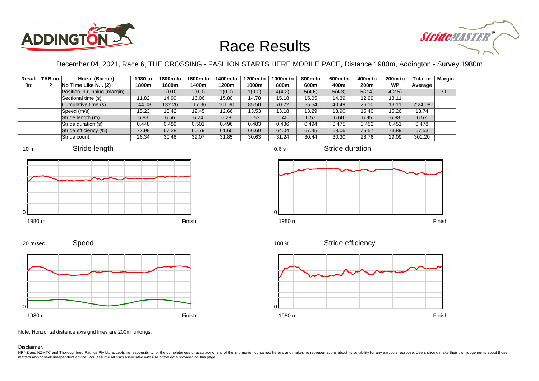



December 04, 2021, Race 6, THE CROSSING - FASHION STARTS HERE MOBILE PACE, Distance 1980m, Addington - Survey 1980m

|     | Result TAB no. | Horse (Barrier)              | 1980 to                  | 1800m to | 1600m to | 1400m to | 1200m to | 1000m to | 800m to | 600 <sub>m</sub> to | 400m to | 200 <sub>m</sub> to | <b>Total or</b> | Margin |
|-----|----------------|------------------------------|--------------------------|----------|----------|----------|----------|----------|---------|---------------------|---------|---------------------|-----------------|--------|
| 3rd |                | No Time Like N (2)           | 1800m                    | 1600m    | 1400m    | 1200m    | 1000m    | 800m     | 600m    | 400m                | 200m    | <b>WP</b>           | Average         |        |
|     |                | Position in running (margin) | $\overline{\phantom{a}}$ | 1(0.0)   | 1(0.0)   | 1(0.0)   | 1(0.0)   | 4(4.2)   | 5(4.6)  | 5(4.3)              | 5(2.4)  | 4(2.5)              |                 | 3.00   |
|     |                | Sectional time (s)           | '1.82                    | 14.90    | 16.06    | 15.80    | 14.78    | 15.18    | 15.05   | 14.39               | 12.99   | 13.11               |                 |        |
|     |                | Cumulative time (s)          | 144.08                   | 132.26   | 117.36   | 101.30   | 85.50    | 70.72    | 55.54   | 40.49               | 26.10   | 13.11               | 2:24.08         |        |
|     |                | Speed (m/s)                  | 15.23                    | 13.42    | 12.45    | 12.66    | 13.53    | 13.18    | 13.29   | 13.90               | 15.40   | 15.26               | 13.74           |        |
|     |                | Stride length (m)            | 6.83                     | 6.56     | 6.24     | 6.28     | 6.53     | 6.40     | 6.57    | 6.60                | 6.95    | 6.88                | 6.57            |        |
|     |                | Stride duration (s)          | 0.448                    | 0.489    | 0.501    | 0.496    | 0.483    | 0.486    | 0.494   | 0.475               | 0.452   | 0.451               | 0.478           |        |
|     |                | Stride efficiency (%)        | 72.98                    | 67.28    | 60.79    | 61.60    | 66.60    | 64.04    | 67.45   | 68.06               | 75.57   | 73.89               | 67.53           |        |
|     |                | Stride count                 | 26.34                    | 30.48    | 32.07    | 31.85    | 30.63    | 31.24    | 30.44   | 30.30               | 28.76   | 29.09               | 301.20          |        |











0.6 s

Stride duration



Stride efficiency 100 %



Note: Horizontal distance axis grid lines are 200m furlongs.

Disclaimer.

20 m/sec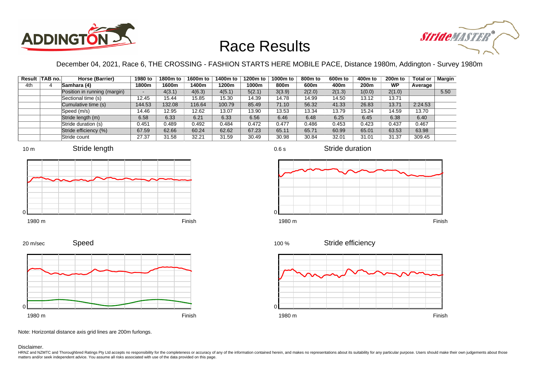



December 04, 2021, Race 6, THE CROSSING - FASHION STARTS HERE MOBILE PACE, Distance 1980m, Addington - Survey 1980m

|     | Result TAB no. | Horse (Barrier)              | 1980 to                  | 1800m to | 1600m to | 1400m to | 1200m to | 1000m to | 800 <sub>m</sub> to | 600 <sub>m</sub> to | 400m to | 200 <sub>m</sub> to | <b>Total or</b> | <b>Margin</b> |
|-----|----------------|------------------------------|--------------------------|----------|----------|----------|----------|----------|---------------------|---------------------|---------|---------------------|-----------------|---------------|
| 4th |                | Samhara (4)                  | 1800m                    | 1600m    | 1400m    | 1200m    | 1000m    | 800m     | 600m                | 400m                | 200m    | <b>WP</b>           | Average         |               |
|     |                | Position in running (margin) | $\overline{\phantom{0}}$ | 4(3.1)   | 4(6.3)   | 4(5.1)   | 5(2.1)   | 3(3.9)   | 2(2.0)              | 2(1.3)              | 1(0.0)  | 2(1.0)              |                 | 5.50          |
|     |                | Sectional time (s)           | 12.45                    | 15.44    | 15.85    | 15.30    | 14.39    | 14.78    | 14.99               | 14.50               | 13.12   | 13.71               |                 |               |
|     |                | Cumulative time (s)          | 144.53                   | 132.08   | 116.64   | 100.79   | 85.49    | 71.10    | 56.32               | 41.33               | 26.83   | 13.71               | 2:24.53         |               |
|     |                | Speed (m/s)                  | 14.46                    | 12.95    | 12.62    | 13.07    | 13.90    | 13.53    | 13.34               | 13.79               | 15.24   | 14.59               | 13.70           |               |
|     |                | Stride length (m)            | 6.58                     | 6.33     | 6.21     | 6.33     | 6.56     | 6.46     | 6.48                | 6.25                | 6.45    | 6.38                | 6.40            |               |
|     |                | Stride duration (s)          | 0.451                    | 0.489    | 0.492    | 0.484    | 0.472    | 0.477    | 0.486               | 0.453               | 0.423   | 0.437               | 0.467           |               |
|     |                | Stride efficiency (%)        | 67.59                    | 62.66    | 60.24    | 62.62    | 67.23    | 65.11    | 65.71               | 60.99               | 65.01   | 63.53               | 63.98           |               |
|     |                | Stride count                 | 27.37                    | 31.58    | 32.21    | 31.59    | 30.49    | 30.98    | 30.84               | 32.01               | 31.01   | 31.37               | 309.45          |               |









1980 m Finish





Note: Horizontal distance axis grid lines are 200m furlongs.

Disclaimer.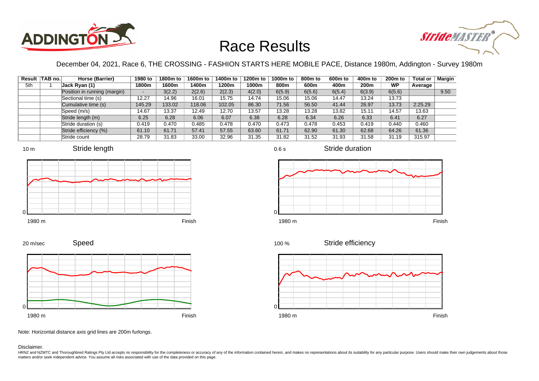



December 04, 2021, Race 6, THE CROSSING - FASHION STARTS HERE MOBILE PACE, Distance 1980m, Addington - Survey 1980m

|     | Result TAB no. | Horse (Barrier)              | 1980 to | 1800m to | 1600m to | 1400m to | 1200m to | 1000m to | 800m to | 600 <sub>m</sub> to | 400m to | 200 <sub>m</sub> to | <b>Total or</b> | <b>Margin</b> |
|-----|----------------|------------------------------|---------|----------|----------|----------|----------|----------|---------|---------------------|---------|---------------------|-----------------|---------------|
| 5th |                | Jack Ryan (1)                | 1800m   | 1600m    | 1400m    | 1200m    | 1000m    | 800m     | 600m    | 400m                | 200m    | <b>WP</b>           | Average         |               |
|     |                | Position in running (margin) | -       | 3(2.2)   | 2(2.6)   | 2(2.3)   | 4(2.0)   | 6(5.9)   | 6(5.6)  | 6(5.4)              | 6(3.9)  | 6(5.6)              |                 | 9.50          |
|     |                | Sectional time (s)           | 12.27   | 14.96    | 16.01    | 15.75    | 14.74    | 15.06    | 15.06   | 14.47               | 13.24   | 13.73               |                 |               |
|     |                | Cumulative time (s)          | 145.29  | 133.02   | 118.06   | 102.05   | 86.30    | 71.56    | 56.50   | 41.44               | 26.97   | 13.73               | 2:25.29         |               |
|     |                | Speed (m/s)                  | 14.67   | 13.37    | 12.49    | 12.70    | 13.57    | 13.28    | 13.28   | 13.82               | 15.11   | 14.57               | 13.63           |               |
|     |                | Stride length (m)            | 6.25    | 6.28     | 6.06     | 6.07     | 6.38     | 6.28     | 6.34    | 6.26                | 6.33    | 6.41                | 6.27            |               |
|     |                | Stride duration (s)          | 0.419   | 0.470    | 0.485    | 0.478    | 0.470    | 0.473    | 0.478   | 0.453               | 0.419   | 0.440               | 0.460           |               |
|     |                | Stride efficiency (%)        | 61.10   | 61.71    | 57.41    | 57.55    | 63.60    | 61.71    | 62.90   | 61.30               | 62.68   | 64.26               | 61.36           |               |
|     |                | Stride count                 | 28.79   | 31.83    | 33.00    | 32.96    | 31.35    | 31.82    | 31.52   | 31.93               | 31.58   | 31.19               | 315.97          |               |







Stride duration











Note: Horizontal distance axis grid lines are 200m furlongs.

#### Disclaimer.